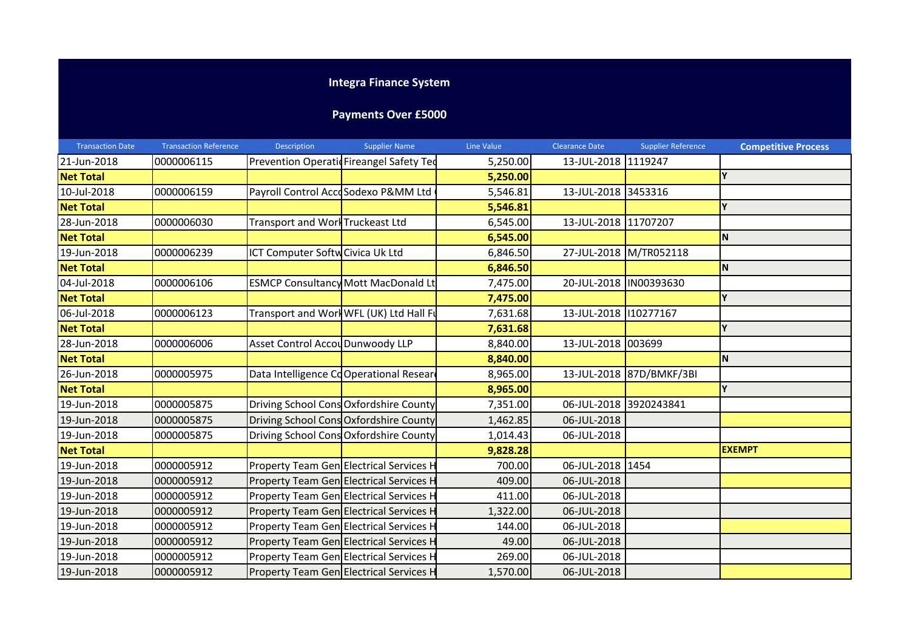## **Integra Finance System**

## **Payments Over £5000**

| <b>Transaction Date</b> | <b>Transaction Reference</b> | Description                      | <b>Supplier Name</b>                       | Line Value | <b>Clearance Date</b>   | <b>Supplier Reference</b> | <b>Competitive Process</b> |
|-------------------------|------------------------------|----------------------------------|--------------------------------------------|------------|-------------------------|---------------------------|----------------------------|
| 21-Jun-2018             | 0000006115                   |                                  | Prevention Operatic Fireangel Safety Ted   | 5,250.00   | 13-JUL-2018 1119247     |                           |                            |
| <b>Net Total</b>        |                              |                                  |                                            | 5,250.00   |                         |                           | Y                          |
| 10-Jul-2018             | 0000006159                   |                                  | Payroll Control AccoSodexo P&MM Ltd        | 5,546.81   | 13-JUL-2018 3453316     |                           |                            |
| <b>Net Total</b>        |                              |                                  |                                            | 5,546.81   |                         |                           | $\mathbf{v}$               |
| 28-Jun-2018             | 0000006030                   | Transport and Worl Truckeast Ltd |                                            | 6,545.00   | 13-JUL-2018 11707207    |                           |                            |
| <b>Net Total</b>        |                              |                                  |                                            | 6,545.00   |                         |                           | N                          |
| 19-Jun-2018             | 0000006239                   | ICT Computer Softw Civica Uk Ltd |                                            | 6,846.50   |                         | 27-JUL-2018 M/TR052118    |                            |
| <b>Net Total</b>        |                              |                                  |                                            | 6,846.50   |                         |                           | N                          |
| 04-Jul-2018             | 0000006106                   |                                  | <b>ESMCP Consultancy Mott MacDonald Lt</b> | 7,475.00   | 20-JUL-2018  IN00393630 |                           |                            |
| <b>Net Total</b>        |                              |                                  |                                            | 7,475.00   |                         |                           | Y                          |
| 06-Jul-2018             | 0000006123                   |                                  | Transport and Work WFL (UK) Ltd Hall Fu    | 7,631.68   | 13-JUL-2018 10277167    |                           |                            |
| <b>Net Total</b>        |                              |                                  |                                            | 7,631.68   |                         |                           | Y                          |
| 28-Jun-2018             | 0000006006                   | Asset Control Accou Dunwoody LLP |                                            | 8,840.00   | 13-JUL-2018 003699      |                           |                            |
| <b>Net Total</b>        |                              |                                  |                                            | 8,840.00   |                         |                           | ΙN                         |
| 26-Jun-2018             | 0000005975                   |                                  | Data Intelligence CoOperational Researd    | 8,965.00   |                         | 13-JUL-2018 87D/BMKF/3BI  |                            |
| <b>Net Total</b>        |                              |                                  |                                            | 8,965.00   |                         |                           | V                          |
| 19-Jun-2018             | 0000005875                   |                                  | Driving School Cons Oxfordshire County     | 7,351.00   | 06-JUL-2018 3920243841  |                           |                            |
| 19-Jun-2018             | 0000005875                   |                                  | Driving School Cons Oxfordshire County     | 1,462.85   | 06-JUL-2018             |                           |                            |
| 19-Jun-2018             | 0000005875                   |                                  | Driving School Cons Oxfordshire County     | 1,014.43   | 06-JUL-2018             |                           |                            |
| <b>Net Total</b>        |                              |                                  |                                            | 9,828.28   |                         |                           | <b>EXEMPT</b>              |
| 19-Jun-2018             | 0000005912                   |                                  | Property Team Gen Electrical Services H    | 700.00     | 06-JUL-2018 1454        |                           |                            |
| 19-Jun-2018             | 0000005912                   |                                  | Property Team Gen Electrical Services H    | 409.00     | 06-JUL-2018             |                           |                            |
| 19-Jun-2018             | 0000005912                   |                                  | Property Team Gen Electrical Services H    | 411.00     | 06-JUL-2018             |                           |                            |
| 19-Jun-2018             | 0000005912                   |                                  | Property Team Gen Electrical Services H    | 1,322.00   | 06-JUL-2018             |                           |                            |
| 19-Jun-2018             | 0000005912                   |                                  | Property Team Gen Electrical Services H    | 144.00     | 06-JUL-2018             |                           |                            |
| 19-Jun-2018             | 0000005912                   |                                  | Property Team Gen Electrical Services H    | 49.00      | 06-JUL-2018             |                           |                            |
| 19-Jun-2018             | 0000005912                   |                                  | Property Team Gen Electrical Services H    | 269.00     | 06-JUL-2018             |                           |                            |
| 19-Jun-2018             | 0000005912                   |                                  | Property Team Gen Electrical Services H    | 1,570.00   | 06-JUL-2018             |                           |                            |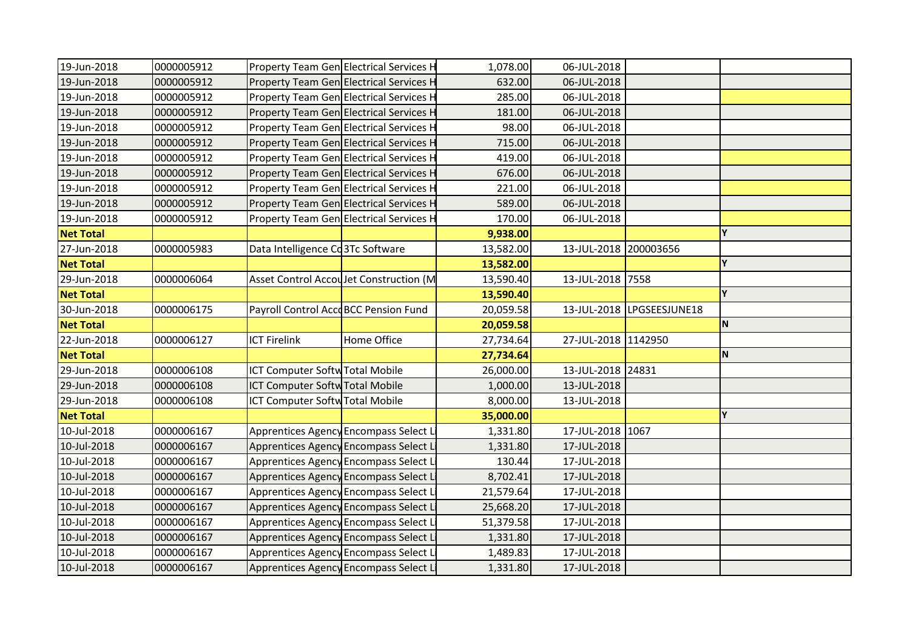| 19-Jun-2018      | 0000005912 |                                         | Property Team Gen Electrical Services H | 1,078.00  | 06-JUL-2018           |                           |             |
|------------------|------------|-----------------------------------------|-----------------------------------------|-----------|-----------------------|---------------------------|-------------|
| 19-Jun-2018      | 0000005912 |                                         | Property Team Gen Electrical Services H | 632.00    | 06-JUL-2018           |                           |             |
| 19-Jun-2018      | 0000005912 | Property Team Gen Electrical Services H |                                         | 285.00    | 06-JUL-2018           |                           |             |
| 19-Jun-2018      | 0000005912 | Property Team Gen Electrical Services H |                                         | 181.00    | 06-JUL-2018           |                           |             |
| 19-Jun-2018      | 0000005912 |                                         | Property Team Gen Electrical Services H | 98.00     | 06-JUL-2018           |                           |             |
| 19-Jun-2018      | 0000005912 | Property Team Gen Electrical Services H |                                         | 715.00    | 06-JUL-2018           |                           |             |
| 19-Jun-2018      | 0000005912 | Property Team Gen Electrical Services H |                                         | 419.00    | 06-JUL-2018           |                           |             |
| 19-Jun-2018      | 0000005912 |                                         | Property Team Gen Electrical Services H | 676.00    | 06-JUL-2018           |                           |             |
| 19-Jun-2018      | 0000005912 |                                         | Property Team Gen Electrical Services F | 221.00    | 06-JUL-2018           |                           |             |
| 19-Jun-2018      | 0000005912 |                                         | Property Team Gen Electrical Services H | 589.00    | 06-JUL-2018           |                           |             |
| 19-Jun-2018      | 0000005912 |                                         | Property Team Gen Electrical Services H | 170.00    | 06-JUL-2018           |                           |             |
| <b>Net Total</b> |            |                                         |                                         | 9,938.00  |                       |                           | Y           |
| 27-Jun-2018      | 0000005983 | Data Intelligence Cd3Tc Software        |                                         | 13,582.00 | 13-JUL-2018 200003656 |                           |             |
| <b>Net Total</b> |            |                                         |                                         | 13,582.00 |                       |                           | Y           |
| 29-Jun-2018      | 0000006064 |                                         | Asset Control Accoulet Construction (M  | 13,590.40 | 13-JUL-2018 7558      |                           |             |
| <b>Net Total</b> |            |                                         |                                         | 13,590.40 |                       |                           | Y           |
| 30-Jun-2018      | 0000006175 | Payroll Control AccoBCC Pension Fund    |                                         | 20,059.58 |                       | 13-JUL-2018 LPGSEESJUNE18 |             |
| <b>Net Total</b> |            |                                         |                                         | 20,059.58 |                       |                           | $\mathbf N$ |
| 22-Jun-2018      | 0000006127 | <b>ICT Firelink</b>                     | Home Office                             | 27,734.64 | 27-JUL-2018 1142950   |                           |             |
| <b>Net Total</b> |            |                                         |                                         | 27,734.64 |                       |                           | N           |
| 29-Jun-2018      | 0000006108 | <b>ICT Computer Softw Total Mobile</b>  |                                         | 26,000.00 | 13-JUL-2018 24831     |                           |             |
| 29-Jun-2018      | 0000006108 | <b>ICT Computer Softw Total Mobile</b>  |                                         | 1,000.00  | 13-JUL-2018           |                           |             |
| 29-Jun-2018      | 0000006108 | <b>ICT Computer Softw Total Mobile</b>  |                                         | 8,000.00  | 13-JUL-2018           |                           |             |
| <b>Net Total</b> |            |                                         |                                         | 35,000.00 |                       |                           | Y           |
| 10-Jul-2018      | 0000006167 |                                         | Apprentices Agency Encompass Select L   | 1,331.80  | 17-JUL-2018 1067      |                           |             |
| 10-Jul-2018      | 0000006167 |                                         | Apprentices Agency Encompass Select L   | 1,331.80  | 17-JUL-2018           |                           |             |
| 10-Jul-2018      | 0000006167 |                                         | Apprentices Agency Encompass Select L   | 130.44    | 17-JUL-2018           |                           |             |
| 10-Jul-2018      | 0000006167 | Apprentices Agency Encompass Select L   |                                         | 8,702.41  | 17-JUL-2018           |                           |             |
| 10-Jul-2018      | 0000006167 |                                         | Apprentices Agency Encompass Select L   | 21,579.64 | 17-JUL-2018           |                           |             |
| 10-Jul-2018      | 0000006167 |                                         | Apprentices Agency Encompass Select L   | 25,668.20 | 17-JUL-2018           |                           |             |
| 10-Jul-2018      | 0000006167 |                                         | Apprentices Agency Encompass Select L   | 51,379.58 | 17-JUL-2018           |                           |             |
| 10-Jul-2018      | 0000006167 | Apprentices Agency Encompass Select L   |                                         | 1,331.80  | 17-JUL-2018           |                           |             |
| 10-Jul-2018      | 0000006167 |                                         | Apprentices Agency Encompass Select L   | 1,489.83  | 17-JUL-2018           |                           |             |
| 10-Jul-2018      | 0000006167 | Apprentices Agency Encompass Select L   |                                         | 1,331.80  | 17-JUL-2018           |                           |             |